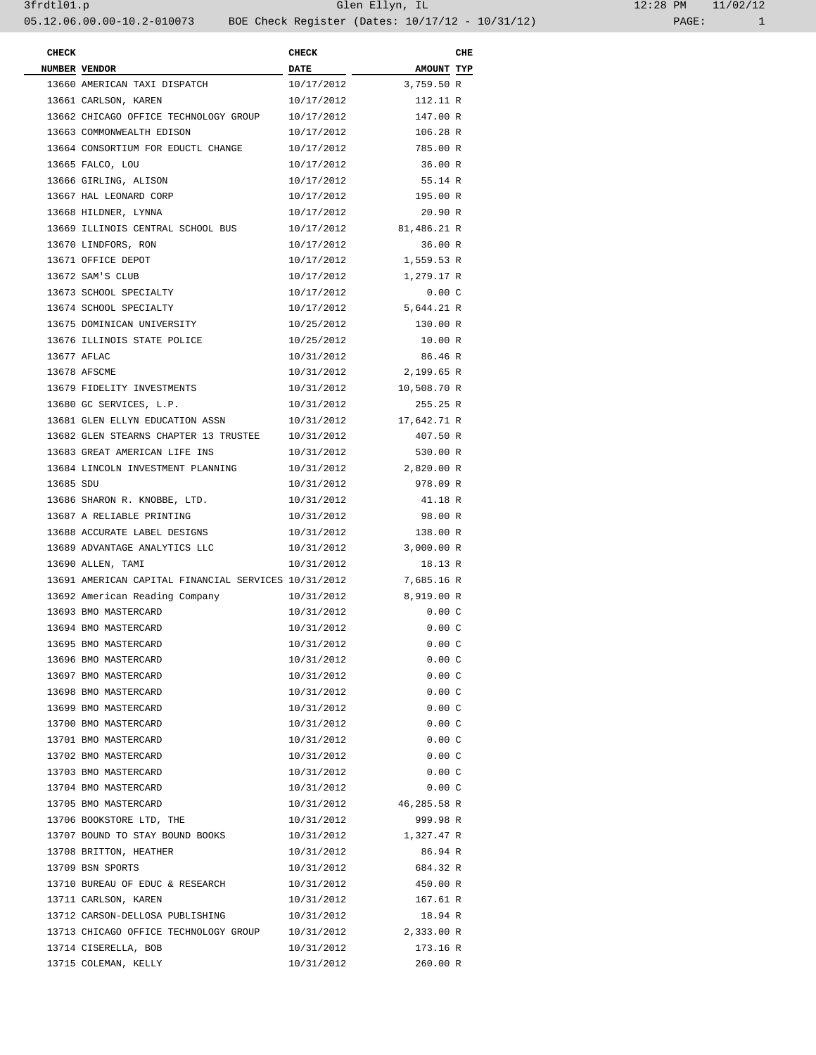| <b>CHECK</b> |                                                      | <b>CHECK</b>             |                      | CHE |
|--------------|------------------------------------------------------|--------------------------|----------------------|-----|
|              | NUMBER VENDOR                                        | <b>DATE</b>              | <b>AMOUNT TYP</b>    |     |
|              | 13660 AMERICAN TAXI DISPATCH                         | 10/17/2012               | 3,759.50 R           |     |
|              | 13661 CARLSON, KAREN                                 | 10/17/2012               | 112.11 R             |     |
|              | 13662 CHICAGO OFFICE TECHNOLOGY GROUP                | 10/17/2012               | 147.00 R             |     |
|              | 13663 COMMONWEALTH EDISON                            | 10/17/2012               | 106.28 R             |     |
|              | 13664 CONSORTIUM FOR EDUCTL CHANGE                   | 10/17/2012               | 785.00 R             |     |
|              | 13665 FALCO, LOU                                     | 10/17/2012               | 36.00 R              |     |
|              | 13666 GIRLING, ALISON                                | 10/17/2012               | 55.14 R              |     |
|              | 13667 HAL LEONARD CORP                               | 10/17/2012               | 195.00 R             |     |
|              | 13668 HILDNER, LYNNA                                 | 10/17/2012               | 20.90 R              |     |
|              | 13669 ILLINOIS CENTRAL SCHOOL BUS                    | 10/17/2012               | 81,486.21 R          |     |
|              | 13670 LINDFORS, RON                                  | 10/17/2012               | 36.00 R              |     |
|              | 13671 OFFICE DEPOT                                   | 10/17/2012               | 1,559.53 R           |     |
|              | 13672 SAM'S CLUB                                     | 10/17/2012               | 1,279.17 R           |     |
|              | 13673 SCHOOL SPECIALTY                               |                          |                      |     |
|              |                                                      | 10/17/2012<br>10/17/2012 | 0.00C                |     |
|              | 13674 SCHOOL SPECIALTY                               |                          | 5,644.21 R           |     |
|              | 13675 DOMINICAN UNIVERSITY                           | 10/25/2012               | 130.00 R             |     |
|              | 13676 ILLINOIS STATE POLICE                          | 10/25/2012               | 10.00 R              |     |
|              | 13677 AFLAC                                          | 10/31/2012               | 86.46 R              |     |
|              | 13678 AFSCME                                         | 10/31/2012               | 2,199.65 R           |     |
|              | 13679 FIDELITY INVESTMENTS                           | 10/31/2012               | 10,508.70 R          |     |
|              | 13680 GC SERVICES, L.P.                              | 10/31/2012               | 255.25 R             |     |
|              | 13681 GLEN ELLYN EDUCATION ASSN                      | 10/31/2012               | 17,642.71 R          |     |
|              | 13682 GLEN STEARNS CHAPTER 13 TRUSTEE                | 10/31/2012               | 407.50 R             |     |
|              | 13683 GREAT AMERICAN LIFE INS                        | 10/31/2012               | 530.00 R             |     |
|              | 13684 LINCOLN INVESTMENT PLANNING                    | 10/31/2012               | 2,820.00 R           |     |
| 13685 SDU    |                                                      | 10/31/2012               | 978.09 R             |     |
|              | 13686 SHARON R. KNOBBE, LTD.                         | 10/31/2012               | 41.18 R              |     |
|              | 13687 A RELIABLE PRINTING                            | 10/31/2012               | 98.00 R              |     |
|              | 13688 ACCURATE LABEL DESIGNS                         | 10/31/2012               | 138.00 R             |     |
|              | 13689 ADVANTAGE ANALYTICS LLC                        | 10/31/2012               | 3,000.00 R           |     |
|              | 13690 ALLEN, TAMI                                    | 10/31/2012               | 18.13 R              |     |
|              | 13691 AMERICAN CAPITAL FINANCIAL SERVICES 10/31/2012 |                          | 7,685.16 R           |     |
|              | 13692 American Reading Company                       | 10/31/2012               | 8,919.00 R           |     |
|              | 13693 BMO MASTERCARD                                 | 10/31/2012               | 0.00C                |     |
|              | 13694 BMO MASTERCARD                                 | 10/31/2012               | 0.00C                |     |
|              | 13695 BMO MASTERCARD                                 | 10/31/2012               | 0.00C                |     |
|              | 13696 BMO MASTERCARD                                 | 10/31/2012               | 0.00C                |     |
|              | 13697 BMO MASTERCARD                                 | 10/31/2012               | 0.00C                |     |
|              | 13698 BMO MASTERCARD                                 | 10/31/2012               | 0.00C                |     |
|              | 13699 BMO MASTERCARD                                 | 10/31/2012               | 0.00C                |     |
|              | 13700 BMO MASTERCARD                                 | 10/31/2012               | 0.00C                |     |
|              | 13701 BMO MASTERCARD                                 | 10/31/2012               | 0.00C                |     |
|              | 13702 BMO MASTERCARD                                 | 10/31/2012               | 0.00C                |     |
|              | 13703 BMO MASTERCARD                                 | 10/31/2012               | 0.00C                |     |
|              |                                                      | 10/31/2012               |                      |     |
|              | 13704 BMO MASTERCARD                                 |                          | 0.00C<br>46,285.58 R |     |
|              | 13705 BMO MASTERCARD                                 | 10/31/2012               |                      |     |
|              | 13706 BOOKSTORE LTD, THE                             | 10/31/2012               | 999.98 R             |     |
|              | 13707 BOUND TO STAY BOUND BOOKS                      | 10/31/2012               | 1,327.47 R           |     |
|              | 13708 BRITTON, HEATHER                               | 10/31/2012               | 86.94 R              |     |
|              | 13709 BSN SPORTS                                     | 10/31/2012               | 684.32 R             |     |
|              | 13710 BUREAU OF EDUC & RESEARCH                      | 10/31/2012               | 450.00 R             |     |
|              | 13711 CARLSON, KAREN                                 | 10/31/2012               | 167.61 R             |     |
|              | 13712 CARSON-DELLOSA PUBLISHING                      | 10/31/2012               | 18.94 R              |     |
|              | 13713 CHICAGO OFFICE TECHNOLOGY GROUP                | 10/31/2012               | 2,333.00 R           |     |
|              | 13714 CISERELLA, BOB                                 | 10/31/2012               | 173.16 R             |     |
|              | 13715 COLEMAN, KELLY                                 | 10/31/2012               | 260.00 R             |     |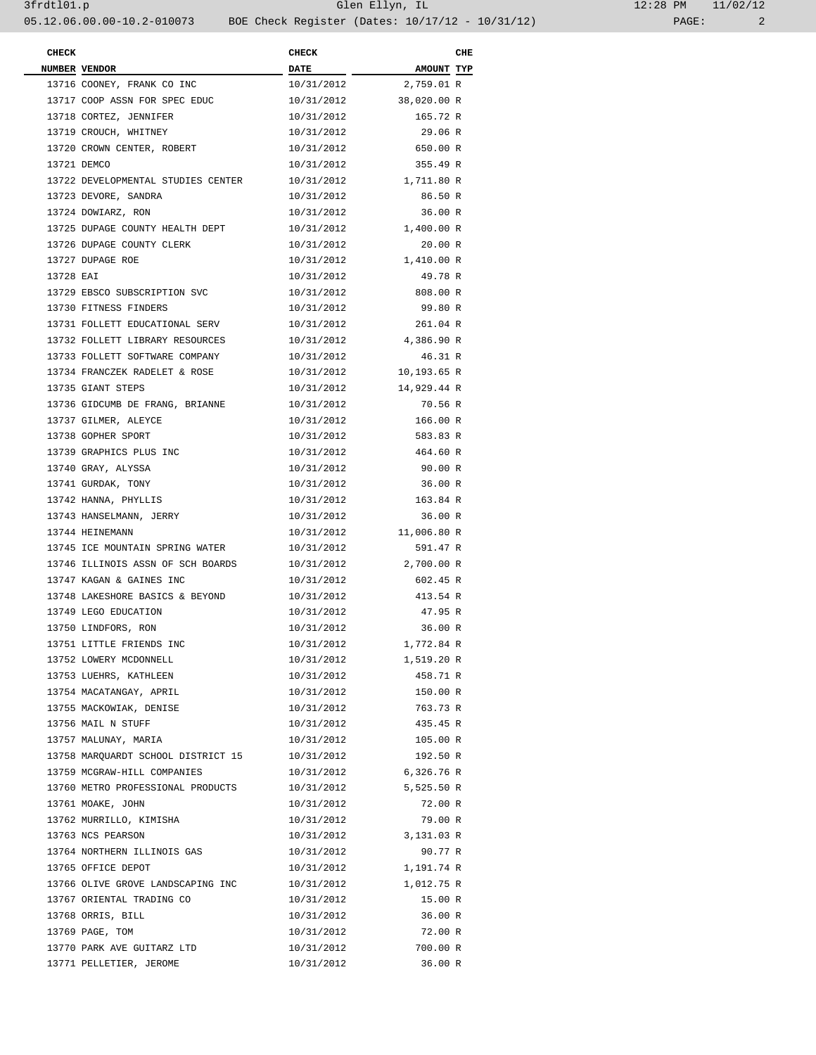| <b>CHECK</b> |                                    | <b>CHECK</b>                            |             | CHE |  |
|--------------|------------------------------------|-----------------------------------------|-------------|-----|--|
|              | NUMBER VENDOR                      | <b>DATE</b><br>$\overline{\phantom{a}}$ | AMOUNT TYP  |     |  |
|              | 13716 COONEY, FRANK CO INC         | 10/31/2012                              | 2,759.01 R  |     |  |
|              | 13717 COOP ASSN FOR SPEC EDUC      | 10/31/2012                              | 38,020.00 R |     |  |
|              | 13718 CORTEZ, JENNIFER             | 10/31/2012                              | 165.72 R    |     |  |
|              | 13719 CROUCH, WHITNEY              | 10/31/2012                              | 29.06 R     |     |  |
|              | 13720 CROWN CENTER, ROBERT         | 10/31/2012                              | 650.00 R    |     |  |
|              | 13721 DEMCO                        | 10/31/2012                              | 355.49 R    |     |  |
|              | 13722 DEVELOPMENTAL STUDIES CENTER | 10/31/2012                              | 1,711.80 R  |     |  |
|              | 13723 DEVORE, SANDRA               | 10/31/2012                              | 86.50 R     |     |  |
|              | 13724 DOWIARZ, RON                 | 10/31/2012                              | 36.00 R     |     |  |
|              | 13725 DUPAGE COUNTY HEALTH DEPT    | 10/31/2012                              | 1,400.00 R  |     |  |
|              | 13726 DUPAGE COUNTY CLERK          | 10/31/2012                              | 20.00 R     |     |  |
|              | 13727 DUPAGE ROE                   | 10/31/2012                              | 1,410.00 R  |     |  |
| 13728 EAI    |                                    | 10/31/2012                              | 49.78 R     |     |  |
|              | 13729 EBSCO SUBSCRIPTION SVC       | 10/31/2012                              | 808.00 R    |     |  |
|              | 13730 FITNESS FINDERS              | 10/31/2012                              | 99.80 R     |     |  |
|              | 13731 FOLLETT EDUCATIONAL SERV     | 10/31/2012                              | 261.04 R    |     |  |
|              | 13732 FOLLETT LIBRARY RESOURCES    | 10/31/2012                              | 4,386.90 R  |     |  |
|              | 13733 FOLLETT SOFTWARE COMPANY     | 10/31/2012                              | 46.31 R     |     |  |
|              | 13734 FRANCZEK RADELET & ROSE      | 10/31/2012                              | 10,193.65 R |     |  |
|              |                                    |                                         | 14,929.44 R |     |  |
|              | 13735 GIANT STEPS                  | 10/31/2012<br>10/31/2012                | 70.56 R     |     |  |
|              | 13736 GIDCUMB DE FRANG, BRIANNE    |                                         |             |     |  |
|              | 13737 GILMER, ALEYCE               | 10/31/2012                              | 166.00 R    |     |  |
|              | 13738 GOPHER SPORT                 | 10/31/2012                              | 583.83 R    |     |  |
|              | 13739 GRAPHICS PLUS INC            | 10/31/2012                              | 464.60 R    |     |  |
|              | 13740 GRAY, ALYSSA                 | 10/31/2012                              | 90.00 R     |     |  |
|              | 13741 GURDAK, TONY                 | 10/31/2012                              | 36.00 R     |     |  |
|              | 13742 HANNA, PHYLLIS               | 10/31/2012                              | 163.84 R    |     |  |
|              | 13743 HANSELMANN, JERRY            | 10/31/2012                              | 36.00 R     |     |  |
|              | 13744 HEINEMANN                    | 10/31/2012                              | 11,006.80 R |     |  |
|              | 13745 ICE MOUNTAIN SPRING WATER    | 10/31/2012                              | 591.47 R    |     |  |
|              | 13746 ILLINOIS ASSN OF SCH BOARDS  | 10/31/2012                              | 2,700.00 R  |     |  |
|              | 13747 KAGAN & GAINES INC           | 10/31/2012                              | 602.45 R    |     |  |
|              | 13748 LAKESHORE BASICS & BEYOND    | 10/31/2012                              | 413.54 R    |     |  |
|              | 13749 LEGO EDUCATION               | 10/31/2012                              | 47.95 R     |     |  |
|              | 13750 LINDFORS, RON                | 10/31/2012                              | 36.00 R     |     |  |
|              | 13751 LITTLE FRIENDS INC           | 10/31/2012                              | 1,772.84 R  |     |  |
|              | 13752 LOWERY MCDONNELL             | 10/31/2012                              | 1,519.20 R  |     |  |
|              | 13753 LUEHRS, KATHLEEN             | 10/31/2012                              | 458.71 R    |     |  |
|              | 13754 MACATANGAY, APRIL            | 10/31/2012                              | 150.00 R    |     |  |
|              | 13755 MACKOWIAK, DENISE            | 10/31/2012                              | 763.73 R    |     |  |
|              | 13756 MAIL N STUFF                 | 10/31/2012                              | 435.45 R    |     |  |
|              | 13757 MALUNAY, MARIA               | 10/31/2012                              | 105.00 R    |     |  |
|              | 13758 MARQUARDT SCHOOL DISTRICT 15 | 10/31/2012                              | 192.50 R    |     |  |
|              | 13759 MCGRAW-HILL COMPANIES        | 10/31/2012 6,326.76 R                   |             |     |  |
|              | 13760 METRO PROFESSIONAL PRODUCTS  | 10/31/2012                              | 5,525.50 R  |     |  |
|              | 13761 MOAKE, JOHN                  | 10/31/2012                              | 72.00 R     |     |  |
|              | 13762 MURRILLO, KIMISHA            | 10/31/2012                              | 79.00 R     |     |  |
|              | 13763 NCS PEARSON                  | 10/31/2012                              | 3,131.03 R  |     |  |
|              | 13764 NORTHERN ILLINOIS GAS        | 10/31/2012                              | 90.77 R     |     |  |
|              | 13765 OFFICE DEPOT                 | 10/31/2012                              | 1,191.74 R  |     |  |
|              | 13766 OLIVE GROVE LANDSCAPING INC  | 10/31/2012 1,012.75 R                   |             |     |  |
|              | 13767 ORIENTAL TRADING CO          | 10/31/2012                              | 15.00 R     |     |  |
|              | 13768 ORRIS, BILL                  | 10/31/2012                              | 36.00 R     |     |  |
|              | 13769 PAGE, TOM                    | 10/31/2012                              | 72.00 R     |     |  |
|              | 13770 PARK AVE GUITARZ LTD         | 10/31/2012                              | 700.00 R    |     |  |
|              | 13771 PELLETIER, JEROME            | 10/31/2012                              | 36.00 R     |     |  |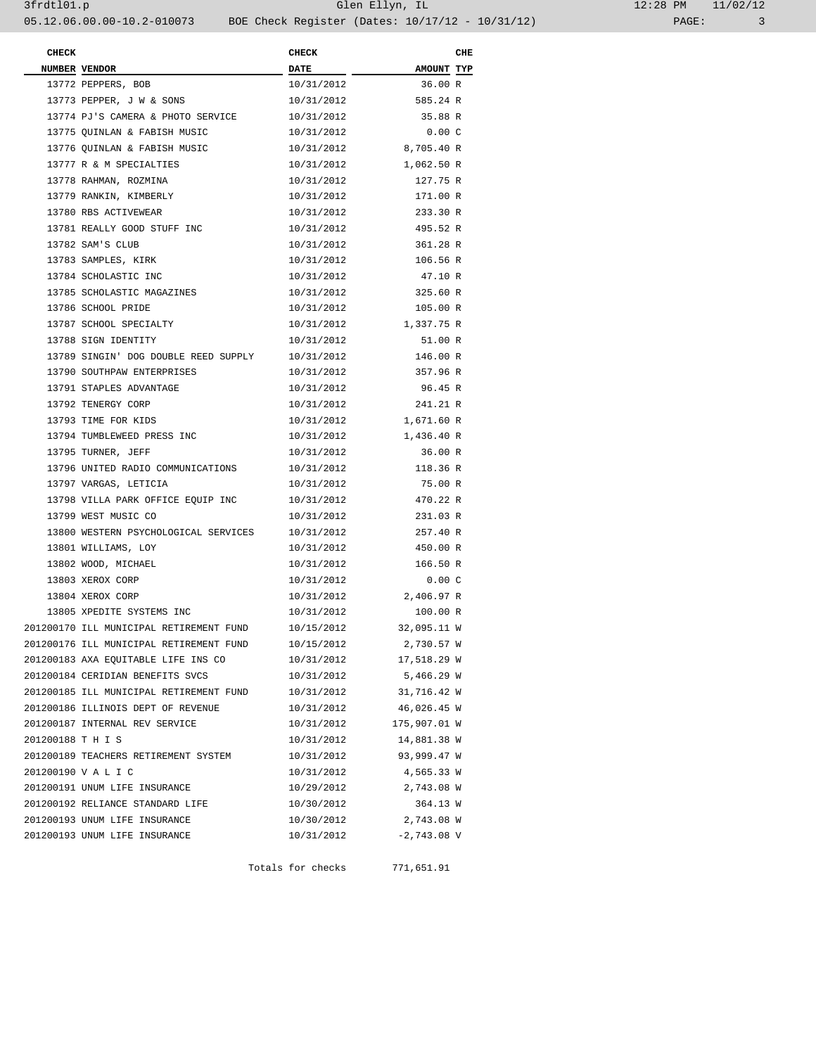| 12:28 PM |       | 11/02/12 |
|----------|-------|----------|
|          | PAGE: |          |

| <b>CHECK</b>      |                                         | <b>CHECK</b> |                         | CHE |
|-------------------|-----------------------------------------|--------------|-------------------------|-----|
|                   | NUMBER VENDOR                           | <b>DATE</b>  | <b>AMOUNT TYP</b>       |     |
|                   | 13772 PEPPERS, BOB                      | 10/31/2012   | 36.00 R                 |     |
|                   | 13773 PEPPER, J W & SONS                | 10/31/2012   | 585.24 R                |     |
|                   | 13774 PJ'S CAMERA & PHOTO SERVICE       | 10/31/2012   | 35.88 R                 |     |
|                   | 13775 QUINLAN & FABISH MUSIC            | 10/31/2012   | 0.00C                   |     |
|                   | 13776 QUINLAN & FABISH MUSIC            | 10/31/2012   | 8,705.40 R              |     |
|                   | 13777 R & M SPECIALTIES                 | 10/31/2012   | 1,062.50 R              |     |
|                   | 13778 RAHMAN, ROZMINA                   | 10/31/2012   | 127.75 R                |     |
|                   | 13779 RANKIN, KIMBERLY                  | 10/31/2012   | 171.00 R                |     |
|                   | 13780 RBS ACTIVEWEAR                    | 10/31/2012   | 233.30 R                |     |
|                   | 13781 REALLY GOOD STUFF INC             | 10/31/2012   | 495.52 R                |     |
|                   | 13782 SAM'S CLUB                        | 10/31/2012   | 361.28 R                |     |
|                   | 13783 SAMPLES, KIRK                     | 10/31/2012   | 106.56 R                |     |
|                   | 13784 SCHOLASTIC INC                    | 10/31/2012   | 47.10 R                 |     |
|                   | 13785 SCHOLASTIC MAGAZINES              | 10/31/2012   | 325.60 R                |     |
|                   | 13786 SCHOOL PRIDE                      | 10/31/2012   | 105.00 R                |     |
|                   | 13787 SCHOOL SPECIALTY                  |              | 10/31/2012 1,337.75 R   |     |
|                   | 13788 SIGN IDENTITY                     | 10/31/2012   | 51.00 R                 |     |
|                   | 13789 SINGIN' DOG DOUBLE REED SUPPLY    | 10/31/2012   | 146.00 R                |     |
|                   | 13790 SOUTHPAW ENTERPRISES              | 10/31/2012   | 357.96 R                |     |
|                   | 13791 STAPLES ADVANTAGE                 | 10/31/2012   | 96.45 R                 |     |
|                   | 13792 TENERGY CORP                      | 10/31/2012   | 241.21 R                |     |
|                   | 13793 TIME FOR KIDS                     |              | 10/31/2012 1,671.60 R   |     |
|                   | 13794 TUMBLEWEED PRESS INC              |              | 10/31/2012 1,436.40 R   |     |
|                   | 13795 TURNER, JEFF                      | 10/31/2012   | 36.00 R                 |     |
|                   | 13796 UNITED RADIO COMMUNICATIONS       | 10/31/2012   | 118.36 R                |     |
|                   | 13797 VARGAS, LETICIA                   | 10/31/2012   | 75.00 R                 |     |
|                   | 13798 VILLA PARK OFFICE EQUIP INC       | 10/31/2012   | 470.22 R                |     |
|                   | 13799 WEST MUSIC CO                     | 10/31/2012   | 231.03 R                |     |
|                   | 13800 WESTERN PSYCHOLOGICAL SERVICES    | 10/31/2012   | 257.40 R                |     |
|                   | 13801 WILLIAMS, LOY                     | 10/31/2012   | 450.00 R                |     |
|                   | 13802 WOOD, MICHAEL                     | 10/31/2012   | 166.50 R                |     |
|                   | 13803 XEROX CORP                        | 10/31/2012   | 0.00C                   |     |
|                   | 13804 XEROX CORP                        |              | 10/31/2012 2,406.97 R   |     |
|                   | 13805 XPEDITE SYSTEMS INC               | 10/31/2012   | 100.00 R                |     |
|                   | 201200170 ILL MUNICIPAL RETIREMENT FUND |              | 10/15/2012 32,095.11 W  |     |
|                   | 201200176 ILL MUNICIPAL RETIREMENT FUND | 10/15/2012   | 2,730.57 W              |     |
|                   | 201200183 AXA EQUITABLE LIFE INS CO     | 10/31/2012   | 17,518.29 W             |     |
|                   | 201200184 CERIDIAN BENEFITS SVCS        | 10/31/2012   | 5,466.29 W              |     |
|                   | 201200185 ILL MUNICIPAL RETIREMENT FUND |              | 10/31/2012 31,716.42 W  |     |
|                   | 201200186 ILLINOIS DEPT OF REVENUE      | 10/31/2012   | 46,026.45 W             |     |
|                   | 201200187 INTERNAL REV SERVICE          |              | 10/31/2012 175,907.01 W |     |
| 201200188 T H I S |                                         | 10/31/2012   | 14,881.38 W             |     |
|                   | 201200189 TEACHERS RETIREMENT SYSTEM    |              | 10/31/2012 93,999.47 W  |     |
|                   | 201200190 V A L I C                     | 10/31/2012   | 4,565.33 W              |     |
|                   | 201200191 UNUM LIFE INSURANCE           |              | 10/29/2012 2,743.08 W   |     |
|                   | 201200192 RELIANCE STANDARD LIFE        | 10/30/2012   | 364.13 W                |     |
|                   | 201200193 UNUM LIFE INSURANCE           | 10/30/2012   | 2,743.08 W              |     |
|                   | 201200193 UNUM LIFE INSURANCE           | 10/31/2012   | $-2,743.08$ V           |     |
|                   |                                         |              |                         |     |

Totals for checks 771,651.91